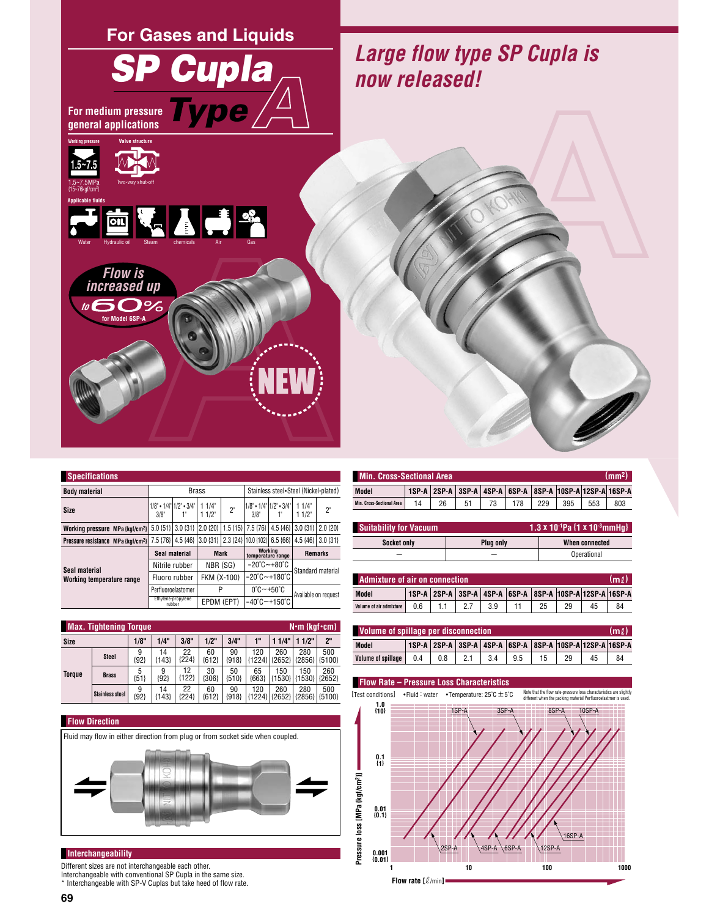

| <b>Specifications</b>                          |                    |                                                         |               |             |                                    |                                   |                      |          |  |  |  |
|------------------------------------------------|--------------------|---------------------------------------------------------|---------------|-------------|------------------------------------|-----------------------------------|----------------------|----------|--|--|--|
| <b>Body material</b>                           |                    | Stainless steel • Steel (Nickel-plated)<br><b>Brass</b> |               |             |                                    |                                   |                      |          |  |  |  |
| Size                                           | $3/8$ <sup>*</sup> | $1/8$ • $1/4$ $1/2$ • $3/4$ $*$                         | 11/4"<br>11/2 | $2^{\circ}$ | $3/8$ <sup>"</sup>                 | $1/8$ • $1/4$ $1/2$ • $3/4$       | 11/4"<br>11/2"       | 2"       |  |  |  |
| Working pressure MPa {kgf/cm <sup>2}</sup>     |                    | $5.0$ {51} 3.0 {31}                                     | 2.0 {20}      |             | $1.5$ {15}   7.5 {76}              | 4.5 {46}                          | $3.0$ $\{31\}$       | 2.0 {20} |  |  |  |
| Pressure resistance MPa {kqf/cm <sup>2</sup> } |                    | 7.5 {76} 4.5 {46}                                       | $3.0$ {31}    |             | 2.3 {24} 10.0 {102}                | $6.5 \{66\}$                      | 4.5 {46} 3.0 {31}    |          |  |  |  |
|                                                |                    | Seal material                                           |               | <b>Mark</b> | Working<br>temperature range       |                                   | <b>Remarks</b>       |          |  |  |  |
| Seal material                                  |                    | Nitrile rubber                                          |               | NBR (SG)    |                                    | $-20^{\circ}$ C $-+80^{\circ}$ C  | Standard material    |          |  |  |  |
| Working temperature range                      |                    | Fluoro rubber                                           |               | FKM (X-100) |                                    | $-20^{\circ}$ C $-+180^{\circ}$ C |                      |          |  |  |  |
|                                                |                    | Perfluoroelastomer                                      | P             |             | $0^{\circ}$ C $-$ +50 $^{\circ}$ C |                                   | Available on request |          |  |  |  |
|                                                |                    | Ethylene-propylene<br>rubber                            |               | EPDM (EPT)  |                                    | $-40^{\circ}$ C $-+150^{\circ}$ C |                      |          |  |  |  |

| <b>Max. Tightening Torque</b><br>$N \cdot m$ {kgf $\cdot$ cm} |                        |             |               |               |             |               |                 |               |               |                      |  |  |  |
|---------------------------------------------------------------|------------------------|-------------|---------------|---------------|-------------|---------------|-----------------|---------------|---------------|----------------------|--|--|--|
| <b>Size</b>                                                   |                        | 1/8"        | 1/4"          | 3/8"          | $1/2$ "     | 3/4"          | 1"              | 11/4"         | 1/2"          | 2"                   |  |  |  |
| <b>Toraue</b>                                                 | <b>Steel</b>           | 9<br>${92}$ | 14<br>${143}$ | 22<br> 224    | 60<br>(612) | 90<br>${918}$ | 120<br>${1224}$ | 260<br>{2652} | 280           | 500<br>{2856} {5100} |  |  |  |
|                                                               | <b>Brass</b>           | 5<br>${51}$ | 9<br>${92}$   | 12<br>${122}$ | 30<br>(306) | 50<br>(510)   | 65<br>${663}$   | 150<br>{1530} | 150<br>{1530} | 260<br>{2652}        |  |  |  |
|                                                               | <b>Stainless steel</b> | 9<br>${92}$ | 14<br>${143}$ | 22<br>(224)   | 60<br>(612) | 90<br>${918}$ | 120<br>${1224}$ | 260<br>{2652} | 280<br>{2856} | 500<br>${15100}$     |  |  |  |



## Interchangeability

Different sizes are not interchangeable each other. Interchangeable with conventional SP Cupla in the same size. \* Interchangeable with SP-V Cuplas but take heed of flow rate.

| Min. Cross-Sectional Area<br>(mm2) |    |    |    |    |  |     |     |                                                          |     |  |  |  |  |
|------------------------------------|----|----|----|----|--|-----|-----|----------------------------------------------------------|-----|--|--|--|--|
| Model                              |    |    |    |    |  |     |     | 1SP-A 2SP-A 3SP-A 4SP-A 6SP-A 8SP-A 10SP-A 12SP-A 16SP-A |     |  |  |  |  |
| Min. Cross-Sectional Area          | 14 | 26 | 51 | 73 |  | 229 | 395 | 553                                                      | 803 |  |  |  |  |

| <b>Suitability for Vacuum</b> |           | $1.3$ x 10 <sup>-1</sup> Pa {1 x 10 <sup>-3</sup> mmHq} |
|-------------------------------|-----------|---------------------------------------------------------|
| Socket only                   | Plua only | When connected                                          |
|                               |           | Operational                                             |

| Admixture of air on connection.<br>lm l |     |  |  |     |  |  |    |                                                                          |    |  |  |  |  |
|-----------------------------------------|-----|--|--|-----|--|--|----|--------------------------------------------------------------------------|----|--|--|--|--|
| <b>Model</b>                            |     |  |  |     |  |  |    | 1SP-A   2SP-A   3SP-A   4SP-A   6SP-A   8SP-A   10SP-A   12SP-A   16SP-A |    |  |  |  |  |
| Volume of air admixture                 | 0.6 |  |  | 3.9 |  |  | 29 | 45                                                                       | 84 |  |  |  |  |

| Volume of spillage per disconnection<br>(ml)     |  |  |  |  |  |    |    |                                                                          |    |  |  |  |  |
|--------------------------------------------------|--|--|--|--|--|----|----|--------------------------------------------------------------------------|----|--|--|--|--|
| Model                                            |  |  |  |  |  |    |    | 1SP-A   2SP-A   3SP-A   4SP-A   6SP-A   8SP-A   10SP-A   12SP-A   16SP-A |    |  |  |  |  |
| Volume of spillage   0.4   0.8   2.1   3.4   9.5 |  |  |  |  |  | 15 | 29 | 45                                                                       | 84 |  |  |  |  |

## **Flow Rate - Pressure Loss Characteristics**

[Test conditions] • Fluid : water • Temperature:  $25^{\circ}$ C  $\pm 5^{\circ}$ C